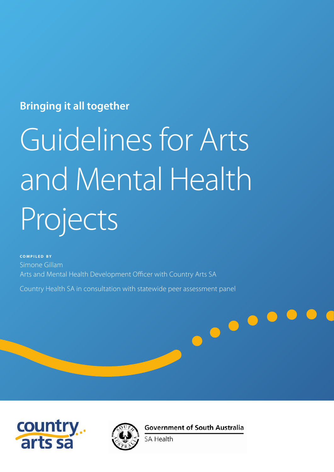### **Bringing it all together**

# Guidelines for Arts and Mental Health Projects

**c o m p i l e d b y** Simone Gillam Arts and Mental Health Development Officer with Country Arts SA Country Health SA in consultation with statewide peer assessment panel





**Government of South Australia** 

**SA Health**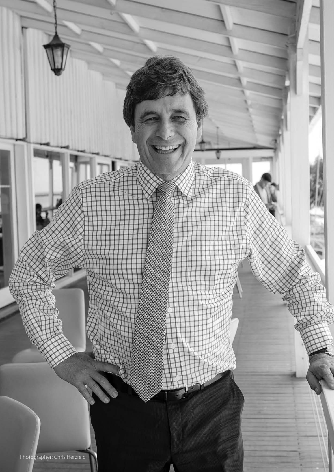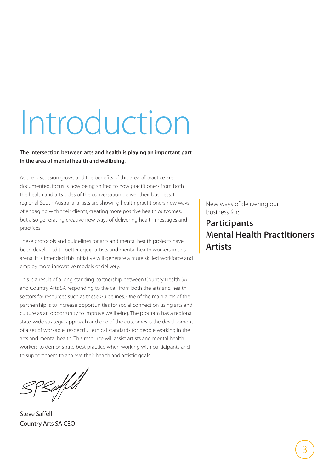# Introduction

**The intersection between arts and health is playing an important part in the area of mental health and wellbeing.**

As the discussion grows and the benefits of this area of practice are documented, focus is now being shifted to how practitioners from both the health and arts sides of the conversation deliver their business. In regional South Australia, artists are showing health practitioners new ways of engaging with their clients, creating more positive health outcomes, but also generating creative new ways of delivering health messages and practices.

These protocols and guidelines for arts and mental health projects have been developed to better equip artists and mental health workers in this arena. It is intended this initiative will generate a more skilled workforce and employ more innovative models of delivery.

This is a result of a long standing partnership between Country Health SA and Country Arts SA responding to the call from both the arts and health sectors for resources such as these Guidelines. One of the main aims of the partnership is to increase opportunities for social connection using arts and culture as an opportunity to improve wellbeing. The program has a regional state-wide strategic approach and one of the outcomes is the development of a set of workable, respectful, ethical standards for people working in the arts and mental health. This resource will assist artists and mental health workers to demonstrate best practice when working with participants and to support them to achieve their health and artistic goals.

PSaffl

Steve Saffell Country Arts SA CEO

New ways of delivering our business for:

**Participants Mental Health Practitioners Artists**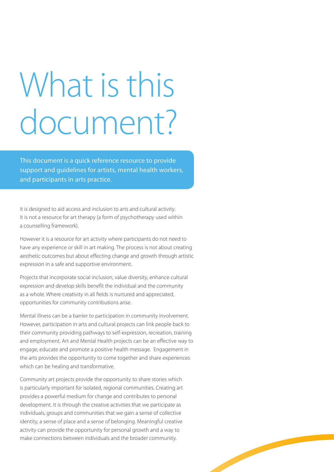# What is this document?

This document is a quick reference resource to provide support and guidelines for artists, mental health workers, and participants in arts practice.

It is designed to aid access and inclusion to arts and cultural activity. It is not a resource for art therapy (a form of psychotherapy used within a counselling framework).

However it is a resource for art activity where participants do not need to have any experience or skill in art making. The process is not about creating aesthetic outcomes but about effecting change and growth through artistic expression in a safe and supportive environment.

Projects that incorporate social inclusion, value diversity, enhance cultural expression and develop skills benefit the individual and the community as a whole. Where creativity in all fields is nurtured and appreciated, opportunities for community contributions arise.

Mental illness can be a barrier to participation in community involvement. However, participation in arts and cultural projects can link people back to their community providing pathways to self-expression, recreation, training and employment. Art and Mental Health projects can be an effective way to engage, educate and promote a positive health message. Engagement in the arts provides the opportunity to come together and share experiences which can be healing and transformative.

Community art projects provide the opportunity to share stories which is particularly important for isolated, regional communities. Creating art provides a powerful medium for change and contributes to personal development. It is through the creative activities that we participate as individuals, groups and communities that we gain a sense of collective identity, a sense of place and a sense of belonging. Meaningful creative activity can provide the opportunity for personal growth and a way to make connections between individuals and the broader community.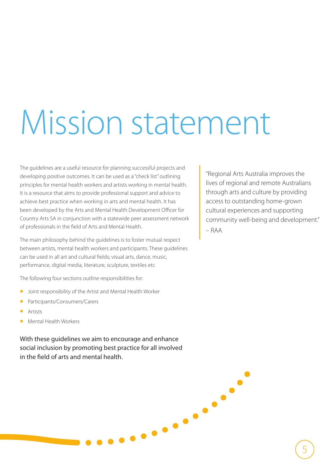## Mission statement

The guidelines are a useful resource for planning successful projects and developing positive outcomes. It can be used as a "check list" outlining principles for mental health workers and artists working in mental health. It is a resource that aims to provide professional support and advice to achieve best practice when working in arts and mental health. It has been developed by the Arts and Mental Health Development Officer for Country Arts SA in conjunction with a statewide peer assessment network of professionals in the field of Arts and Mental Health.

The main philosophy behind the guidelines is to foster mutual respect between artists, mental health workers and participants. These guidelines can be used in all art and cultural fields; visual arts, dance, music, performance, digital media, literature, sculpture, textiles etc

The following four sections outline responsibilities for:

- **•**  Joint responsibility of the Artist and Mental Health Worker
- Participants/Consumers/Carers
- **•**  Artists
- **•**  Mental Health Workers

With these guidelines we aim to encourage and enhance social inclusion by promoting best practice for all involved in the field of arts and mental health.

"Regional Arts Australia improves the lives of regional and remote Australians through arts and culture by providing access to outstanding home-grown cultural experiences and supporting community well-being and development." – RAA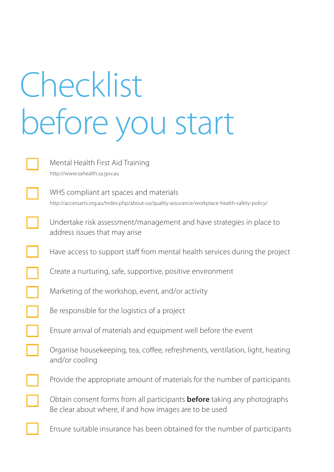# Checklist before you start

|  | $\mathcal{L}^{\text{max}}_{\text{max}}$ and $\mathcal{L}^{\text{max}}_{\text{max}}$ and $\mathcal{L}^{\text{max}}_{\text{max}}$ |  |
|--|---------------------------------------------------------------------------------------------------------------------------------|--|
|  |                                                                                                                                 |  |
|  |                                                                                                                                 |  |
|  |                                                                                                                                 |  |
|  |                                                                                                                                 |  |
|  |                                                                                                                                 |  |
|  |                                                                                                                                 |  |
|  |                                                                                                                                 |  |

Mental Health First Aid Training http://www.sahealth.sa.gov.au

WHS compliant art spaces and materials http://accessarts.org.au/index.php/about-us/quality-assurance/workplace-health-safety-policy/

Undertake risk assessment/management and have strategies in place to address issues that may arise

Have access to support staff from mental health services during the project

Create a nurturing, safe, supportive, positive environment

Marketing of the workshop, event, and/or activity

Be responsible for the logistics of a project

Ensure arrival of materials and equipment well before the event

Organise housekeeping, tea, coffee, refreshments, ventilation, light, heating and/or cooling

Provide the appropriate amount of materials for the number of participants

Obtain consent forms from all participants **before** taking any photographs Be clear about where, if and how images are to be used

Ensure suitable insurance has been obtained for the number of participants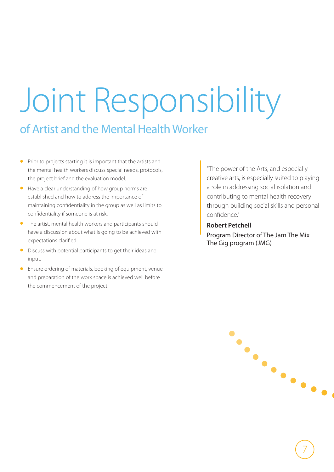# Joint Responsibility

### of Artist and the Mental Health Worker

- **•** Prior to projects starting it is important that the artists and the mental health workers discuss special needs, protocols, the project brief and the evaluation model.
- **•**  Have a clear understanding of how group norms are established and how to address the importance of maintaining confidentiality in the group as well as limits to confidentiality if someone is at risk.
- **•** The artist, mental health workers and participants should have a discussion about what is going to be achieved with expectations clarified.
- **•** Discuss with potential participants to get their ideas and input.
- **•** Ensure ordering of materials, booking of equipment, venue and preparation of the work space is achieved well before the commencement of the project.

"The power of the Arts, and especially creative arts, is especially suited to playing a role in addressing social isolation and contributing to mental health recovery through building social skills and personal confidence."

### **Robert Petchell**

 $\bullet$ 

Program Director of The Jam The Mix The Gig program (JMG)

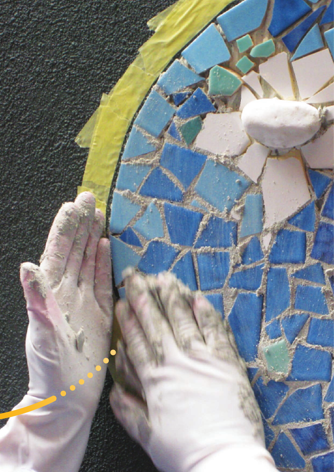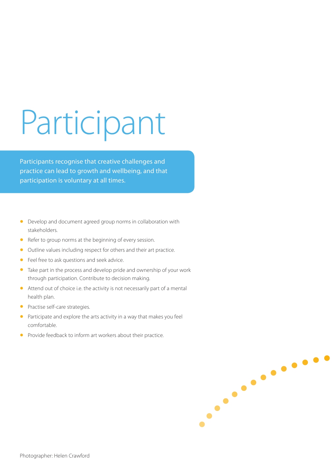# Participant

Participants recognise that creative challenges and practice can lead to growth and wellbeing, and that participation is voluntary at all times.

- **•** Develop and document agreed group norms in collaboration with stakeholders.
- **•**  Refer to group norms at the beginning of every session.
- **•**  Outline values including respect for others and their art practice.
- **•** Feel free to ask questions and seek advice.
- **•**  Take part in the process and develop pride and ownership of your work through participation. Contribute to decision making.
- **•**  Attend out of choice i.e. the activity is not necessarily part of a mental health plan.
- **•** Practise self-care strategies.
- **•** Participate and explore the arts activity in a way that makes you feel comfortable.
- **•** Provide feedback to inform art workers about their practice.

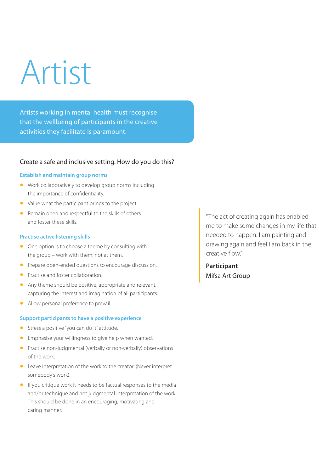# Artist

Artists working in mental health must recognise that the wellbeing of participants in the creative activities they facilitate is paramount.

### Create a safe and inclusive setting. How do you do this?

### **Establish and maintain group norms**

- **•**  Work collaboratively to develop group norms including the importance of confidentiality.
- Value what the participant brings to the project.
- **•**  Remain open and respectful to the skills of others and foster these skills.

#### **Practise active listening skills**

- **•** One option is to choose a theme by consulting with the group – work with them, not at them.
- **•**  Prepare open-ended questions to encourage discussion.
- **•** Practise and foster collaboration.
- **•**  Any theme should be positive, appropriate and relevant, capturing the interest and imagination of all participants.
- **•**  Allow personal preference to prevail.

#### **Support participants to have a positive experience**

- **•**  Stress a positive "you can do it" attitude.
- **•**  Emphasise your willingness to give help when wanted.
- **•** Practise non-judgmental (verbally or non-verbally) observations of the work.
- **•**  Leave interpretation of the work to the creator. (Never interpret somebody's work).
- **•** If you critique work it needs to be factual responses to the media and/or technique and not judgmental interpretation of the work. This should be done in an encouraging, motivating and caring manner.

"The act of creating again has enabled me to make some changes in my life that needed to happen. I am painting and drawing again and feel I am back in the creative flow."

**Participant** Mifsa Art Group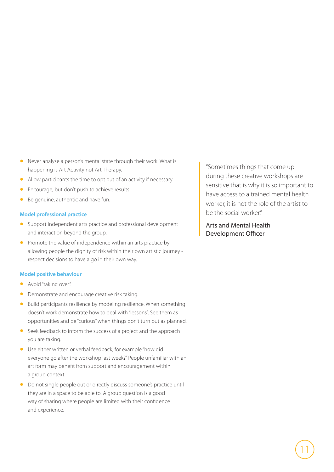- **•** Never analyse a person's mental state through their work. What is happening is Art Activity not Art Therapy.
- **•**  Allow participants the time to opt out of an activity if necessary.
- **•** Encourage, but don't push to achieve results.
- **•**  Be genuine, authentic and have fun.

#### **Model professional practice**

- **•**  Support independent arts practice and professional development and interaction beyond the group.
- **•** Promote the value of independence within an arts practice by allowing people the dignity of risk within their own artistic journey respect decisions to have a go in their own way.

#### **Model positive behaviour**

- **•**  Avoid "taking over".
- Demonstrate and encourage creative risk taking.
- **•**  Build participants resilience by modeling resilience. When something doesn't work demonstrate how to deal with "lessons". See them as opportunities and be "curious" when things don't turn out as planned.
- **•** Seek feedback to inform the success of a project and the approach you are taking.
- **•**  Use either written or verbal feedback, for example "how did everyone go after the workshop last week?" People unfamiliar with an art form may benefit from support and encouragement within a group context.
- Do not single people out or directly discuss someone's practice until they are in a space to be able to. A group question is a good way of sharing where people are limited with their confidence and experience.

"Sometimes things that come up during these creative workshops are sensitive that is why it is so important to have access to a trained mental health worker, it is not the role of the artist to be the social worker."

### Arts and Mental Health Development Officer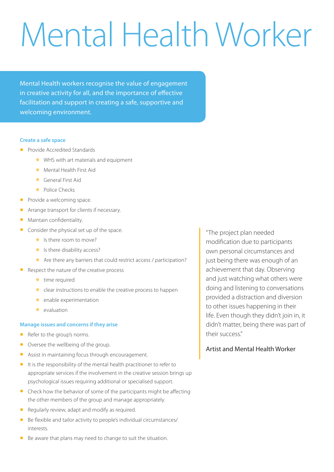# Mental Health Worker

Mental Health workers recognise the value of engagement in creative activity for all, and the importance of effective facilitation and support in creating a safe, supportive and welcoming environment.

#### **Create a safe space**

- **Provide Accredited Standards** 
	- **•**  WHS with art materials and equipment
	- **•**  Mental Health First Aid
	- **•**  General First Aid
	- **•**  Police Checks
- Provide a welcoming space.
- **•** Arrange transport for clients if necessary.
- **Maintain confidentiality.**
- **•** Consider the physical set up of the space.
	- **•** Is there room to move?
	- **•** Is there disability access?
	- **•** Are there any barriers that could restrict access / participation?
- **Respect the nature of the creative process** 
	- **•**  time required
	- **•** clear instructions to enable the creative process to happen
	- **•**  enable experimentation
	- **•**  evaluation

#### **Manage issues and concerns if they arise**

- **•**  Refer to the group's norms.
- Oversee the wellbeing of the group.
- **•**  Assist in maintaining focus through encouragement.
- **•**  It is the responsibility of the mental health practitioner to refer to appropriate services if the involvement in the creative session brings up psychological issues requiring additional or specialised support.
- Check how the behavior of some of the participants might be affecting the other members of the group and manage appropriately.
- **•**  Regularly review, adapt and modify as required.
- **•**  Be flexible and tailor activity to people's individual circumstances/ interests.
- Be aware that plans may need to change to suit the

"The project plan needed modification due to participants own personal circumstances and just being there was enough of an achievement that day. Observing and just watching what others were doing and listening to conversations provided a distraction and diversion to other issues happening in their life. Even though they didn't join in, it didn't matter, being there was part of their success."

### Artist and Mental Health Worker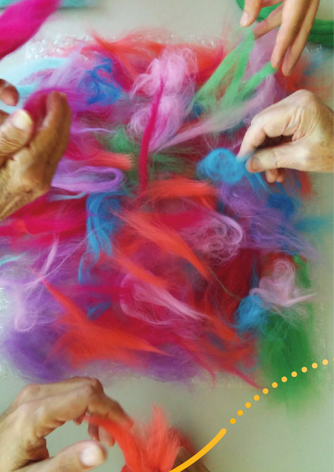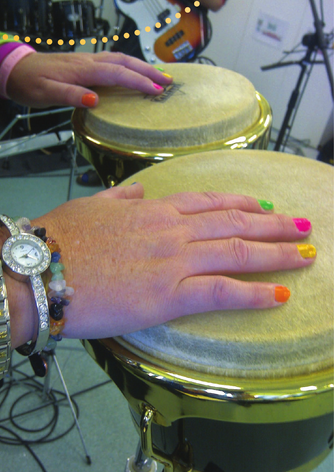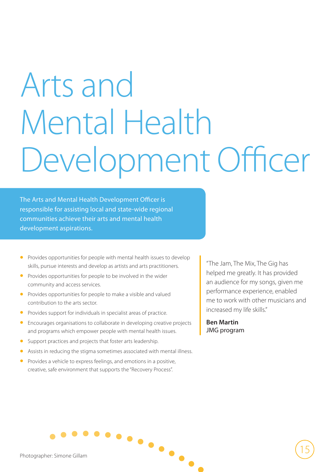# Arts and Mental Health Development Officer

The Arts and Mental Health Development Officer is responsible for assisting local and state-wide regional communities achieve their arts and mental health development aspirations.

- **•** Provides opportunities for people with mental health issues to develop skills, pursue interests and develop as artists and arts practitioners.
- **•**  Provides opportunities for people to be involved in the wider community and access services.
- **•** Provides opportunities for people to make a visible and valued contribution to the arts sector.
- **•** Provides support for individuals in specialist areas of practice.
- **•** Encourages organisations to collaborate in developing creative projects and programs which empower people with mental health issues.
- **•**  Support practices and projects that foster arts leadership.
- **•** Assists in reducing the stigma sometimes associated with mental illness.
- **•** Provides a vehicle to express feelings, and emotions in a positive, creative, safe environment that supports the "Recovery Process".

"The Jam, The Mix, The Gig has helped me greatly. It has provided an audience for my songs, given me performance experience, enabled me to work with other musicians and increased my life skills."

15

**Ben Martin** JMG program

 $\bullet$ 

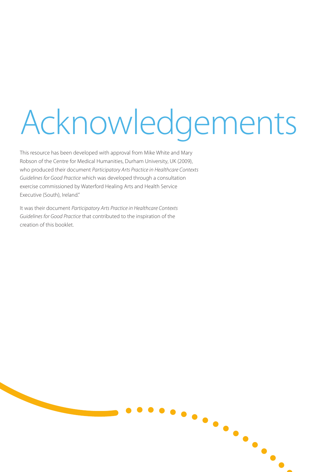# Acknowledgements

This resource has been developed with approval from Mike White and Mary Robson of the Centre for Medical Humanities, Durham University, UK (2009), who produced their document *Participatory Arts Practice in Healthcare Contexts Guidelines for Good Practice* which was developed through a consultation exercise commissioned by Waterford Healing Arts and Health Service Executive (South), Ireland."

It was their document *Participatory Arts Practice in Healthcare Contexts Guidelines for Good Practice* that contributed to the inspiration of the creation of this booklet.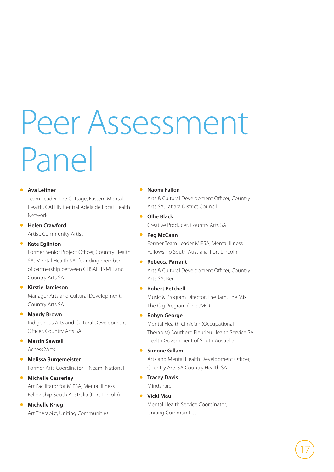### Peer Assessment Panel

### **• Ava Leitner**

Team Leader, The Cottage, Eastern Mental Health, CALHN Central Adelaide Local Health Network

**• Helen Crawford**

Artist, Community Artist

#### **• Kate Eglinton**

Former Senior Project Officer, Country Health SA, Mental Health SA founding member of partnership between CHSALHNMH and Country Arts SA

### **• Kirstie Jamieson**

Manager Arts and Cultural Development, Country Arts SA

**• Mandy Brown**

Indigenous Arts and Cultural Development Officer, Country Arts SA

- **• Martin Sawtell** Access2Arts
- **• Melissa Burgemeister** Former Arts Coordinator – Neami National
- **• Michelle Casserley** Art Facilitator for MIFSA, Mental Illness Fellowship South Australia (Port Lincoln)
- **• Michelle Krieg** Art Therapist, Uniting Communities

#### **• Naomi Fallon**

Arts & Cultural Development Officer, Country Arts SA, Tatiara District Council

- **• Ollie Black** Creative Producer, Country Arts SA
- **• Peg McCann**

Former Team Leader MIFSA, Mental Illness Fellowship South Australia, Port Lincoln

- **• Rebecca Farrant** Arts & Cultural Development Officer, Country Arts SA, Berri
- **• Robert Petchell**

Music & Program Director, The Jam, The Mix, The Gig Program (The JMG)

**• Robyn George**

Mental Health Clinician (Occupational Therapist) Southern Fleurieu Health Service SA Health Government of South Australia

- **• Simone Gillam** Arts and Mental Health Development Officer, Country Arts SA Country Health SA
- **• Tracey Davis** Mindshare
- **• Vicki Mau** Mental Health Service Coordinator, Uniting Communities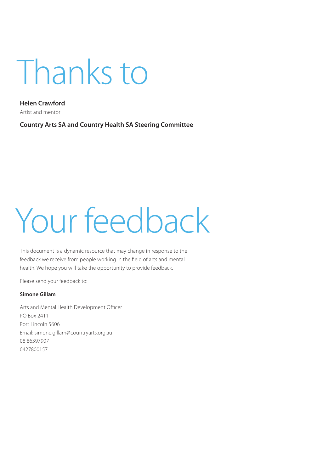# Thanks to

**Helen Crawford** Artist and mentor

**Country Arts SA and Country Health SA Steering Committee**

# Your feedback

This document is a dynamic resource that may change in response to the feedback we receive from people working in the field of arts and mental health. We hope you will take the opportunity to provide feedback.

Please send your feedback to:

#### **Simone Gillam**

Arts and Mental Health Development Officer PO Box 2411 Port Lincoln 5606 Email: simone.gillam@countryarts.org.au 08 86397907 0427800157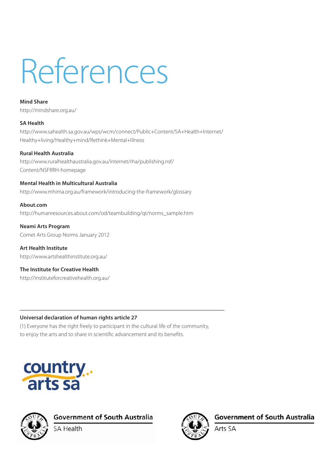# References

### **Mind Share**

http://mindshare.org.au/

### **SA Health**

http://www.sahealth.sa.gov.au/wps/wcm/connect/Public+Content/SA+Health+Internet/ Healthy+living/Healthy+mind/Rethink+Mental+Illness

### **Rural Health Australia**

http://www.ruralhealthaustralia.gov.au/internet/rha/publishing.nsf/ Content/NSFRRH-homepage

### **Mental Health in Multicultural Australia**

http://www.mhima.org.au/framework/introducing-the-framework/glossary

### **About.com**

http://humanresources.about.com/od/teambuilding/qt/norms\_sample.htm

### **Neami Arts Program** Comet Arts Group Norms January 2012

**Art Health Institute** http://www.artshealthinstitute.org.au/

**The Institute for Creative Health** http://instituteforcreativehealth.org.au/

### **Universal declaration of human rights article 27**

(1) Everyone has the right freely to participant in the cultural life of the community, to enjoy the arts and to share in scientific advancement and its benefits.





**Government of South Australia** 



**Government of South Australia** 

Arts SA